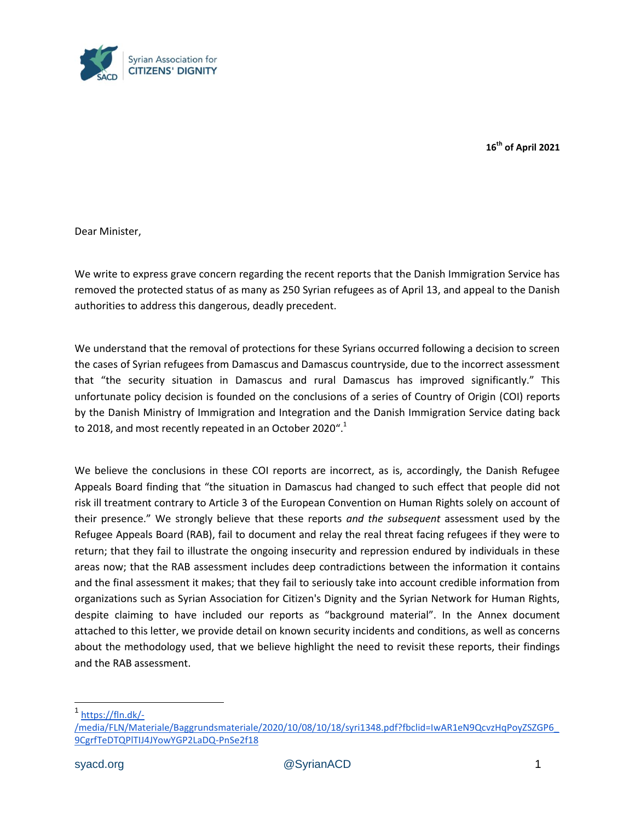

**16th of April 2021** 

Dear Minister,

We write to express grave concern regarding the recent reports that the Danish Immigration Service has removed the protected status of as many as 250 Syrian refugees as of April 13, and appeal to the Danish authorities to address this dangerous, deadly precedent.

We understand that the removal of protections for these Syrians occurred following a decision to screen the cases of Syrian refugees from Damascus and Damascus countryside, due to the incorrect assessment that "the security situation in Damascus and rural Damascus has improved significantly." This unfortunate policy decision is founded on the conclusions of a series of Country of Origin (COI) reports by the Danish Ministry of Immigration and Integration and the Danish Immigration Service dating back to 2018, and most recently repeated in an October 2020".<sup>1</sup>

We believe the conclusions in these COI reports are incorrect, as is, accordingly, the Danish Refugee Appeals Board finding that "the situation in Damascus had changed to such effect that people did not risk ill treatment contrary to Article 3 of the European Convention on Human Rights solely on account of their presence." We strongly believe that these reports *and the subsequent* assessment used by the Refugee Appeals Board (RAB), fail to document and relay the real threat facing refugees if they were to return; that they fail to illustrate the ongoing insecurity and repression endured by individuals in these areas now; that the RAB assessment includes deep contradictions between the information it contains and the final assessment it makes; that they fail to seriously take into account credible information from organizations such as Syrian Association for Citizen's Dignity and the Syrian Network for Human Rights, despite claiming to have included our reports as "background material". In the Annex document attached to this letter, we provide detail on known security incidents and conditions, as well as concerns about the methodology used, that we believe highlight the need to revisit these reports, their findings and the RAB assessment.

1 [https://fln.dk/-](https://fln.dk/-/media/FLN/Materiale/Baggrundsmateriale/2020/10/08/10/18/syri1348.pdf?fbclid=IwAR1eN9QcvzHqPoyZSZGP6_9CgrfTeDTQPlTIJ4JYowYGP2LaDQ-PnSe2f18)

[<sup>/</sup>media/FLN/Materiale/Baggrundsmateriale/2020/10/08/10/18/syri1348.pdf?fbclid=IwAR1eN9QcvzHqPoyZSZGP6\\_](https://fln.dk/-/media/FLN/Materiale/Baggrundsmateriale/2020/10/08/10/18/syri1348.pdf?fbclid=IwAR1eN9QcvzHqPoyZSZGP6_9CgrfTeDTQPlTIJ4JYowYGP2LaDQ-PnSe2f18) [9CgrfTeDTQPlTIJ4JYowYGP2LaDQ-PnSe2f18](https://fln.dk/-/media/FLN/Materiale/Baggrundsmateriale/2020/10/08/10/18/syri1348.pdf?fbclid=IwAR1eN9QcvzHqPoyZSZGP6_9CgrfTeDTQPlTIJ4JYowYGP2LaDQ-PnSe2f18)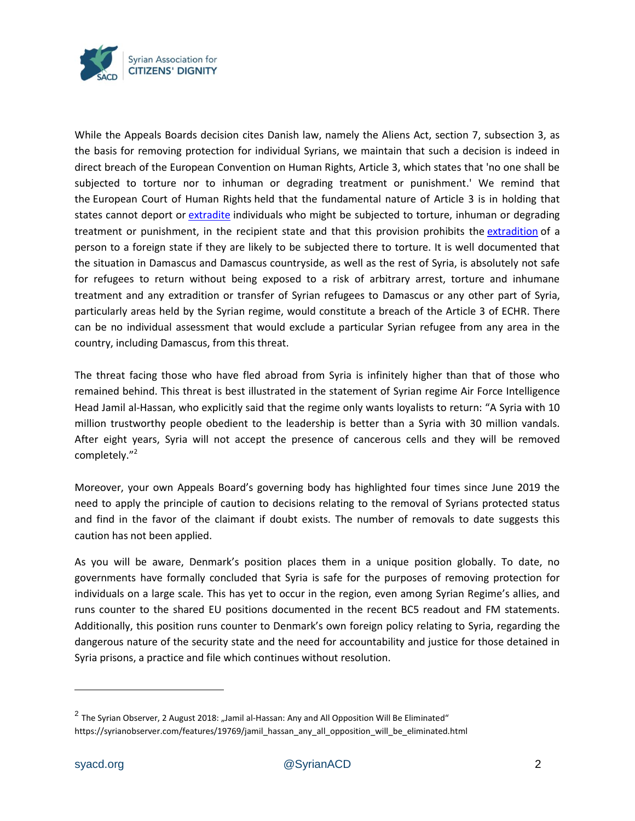

While the Appeals Boards decision cites Danish law, namely the Aliens Act, section 7, subsection 3, as the basis for removing protection for individual Syrians, we maintain that such a decision is indeed in direct breach of the European Convention on Human Rights, Article 3, which states that 'no one shall be subjected to torture nor to inhuman or degrading treatment or punishment.' We remind that the European Court of Human Rights held that the fundamental nature of Article 3 is in holding that states cannot deport or [extradite](https://en.wikipedia.org/wiki/Extradition) individuals who might be subjected to torture, inhuman or degrading treatment or punishment, in the recipient state and that this provision prohibits the [extradition](https://en.wikipedia.org/wiki/Extradition) of a person to a foreign state if they are likely to be subjected there to torture. It is well documented that the situation in Damascus and Damascus countryside, as well as the rest of Syria, is absolutely not safe for refugees to return without being exposed to a risk of arbitrary arrest, torture and inhumane treatment and any extradition or transfer of Syrian refugees to Damascus or any other part of Syria, particularly areas held by the Syrian regime, would constitute a breach of the Article 3 of ECHR. There can be no individual assessment that would exclude a particular Syrian refugee from any area in the country, including Damascus, from this threat.

The threat facing those who have fled abroad from Syria is infinitely higher than that of those who remained behind. This threat is best illustrated in the statement of Syrian regime Air Force Intelligence Head Jamil al-Hassan, who explicitly said that the regime only wants loyalists to return: "A Syria with 10 million trustworthy people obedient to the leadership is better than a Syria with 30 million vandals. After eight years, Syria will not accept the presence of cancerous cells and they will be removed completely."<sup>2</sup>

Moreover, your own Appeals Board's governing body has highlighted four times since June 2019 the need to apply the principle of caution to decisions relating to the removal of Syrians protected status and find in the favor of the claimant if doubt exists. The number of removals to date suggests this caution has not been applied.

As you will be aware, Denmark's position places them in a unique position globally. To date, no governments have formally concluded that Syria is safe for the purposes of removing protection for individuals on a large scale. This has yet to occur in the region, even among Syrian Regime's allies, and runs counter to the shared EU positions documented in the recent BC5 readout and FM statements. Additionally, this position runs counter to Denmark's own foreign policy relating to Syria, regarding the dangerous nature of the security state and the need for accountability and justice for those detained in Syria prisons, a practice and file which continues without resolution.

 $\overline{a}$ 

 $^2$  The Syrian Observer, 2 August 2018: "Jamil al-Hassan: Any and All Opposition Will Be Eliminated" https://syrianobserver.com/features/19769/jamil\_hassan\_any\_all\_opposition\_will\_be\_eliminated.html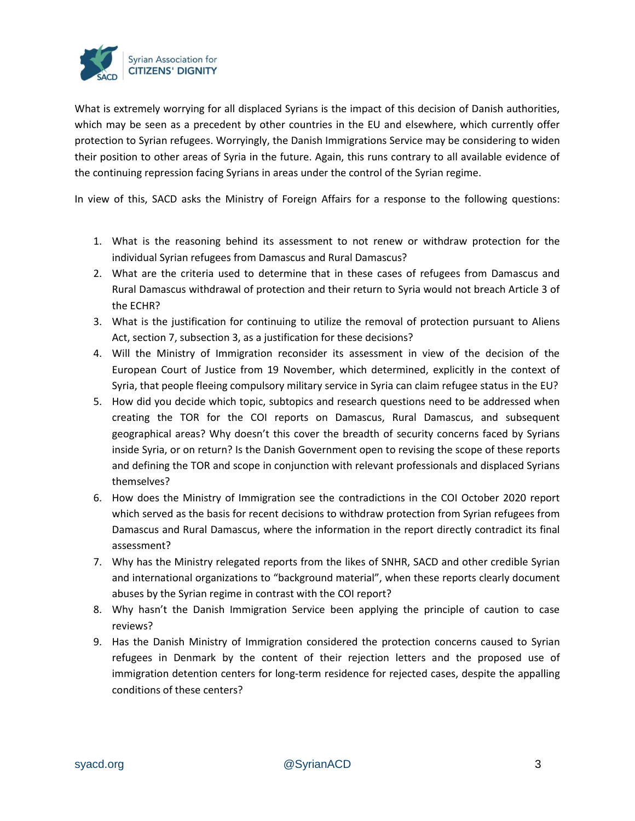

What is extremely worrying for all displaced Syrians is the impact of this decision of Danish authorities, which may be seen as a precedent by other countries in the EU and elsewhere, which currently offer protection to Syrian refugees. Worryingly, the Danish Immigrations Service may be considering to widen their position to other areas of Syria in the future. Again, this runs contrary to all available evidence of the continuing repression facing Syrians in areas under the control of the Syrian regime.

In view of this, SACD asks the Ministry of Foreign Affairs for a response to the following questions:

- 1. What is the reasoning behind its assessment to not renew or withdraw protection for the individual Syrian refugees from Damascus and Rural Damascus?
- 2. What are the criteria used to determine that in these cases of refugees from Damascus and Rural Damascus withdrawal of protection and their return to Syria would not breach Article 3 of the ECHR?
- 3. What is the justification for continuing to utilize the removal of protection pursuant to Aliens Act, section 7, subsection 3, as a justification for these decisions?
- 4. Will the Ministry of Immigration reconsider its assessment in view of the decision of the European Court of Justice from 19 November, which determined, explicitly in the context of Syria, that people fleeing compulsory military service in Syria can claim refugee status in the EU?
- 5. How did you decide which topic, subtopics and research questions need to be addressed when creating the TOR for the COI reports on Damascus, Rural Damascus, and subsequent geographical areas? Why doesn't this cover the breadth of security concerns faced by Syrians inside Syria, or on return? Is the Danish Government open to revising the scope of these reports and defining the TOR and scope in conjunction with relevant professionals and displaced Syrians themselves?
- 6. How does the Ministry of Immigration see the contradictions in the COI October 2020 report which served as the basis for recent decisions to withdraw protection from Syrian refugees from Damascus and Rural Damascus, where the information in the report directly contradict its final assessment?
- 7. Why has the Ministry relegated reports from the likes of SNHR, SACD and other credible Syrian and international organizations to "background material", when these reports clearly document abuses by the Syrian regime in contrast with the COI report?
- 8. Why hasn't the Danish Immigration Service been applying the principle of caution to case reviews?
- 9. Has the Danish Ministry of Immigration considered the protection concerns caused to Syrian refugees in Denmark by the content of their rejection letters and the proposed use of immigration detention centers for long-term residence for rejected cases, despite the appalling conditions of these centers?